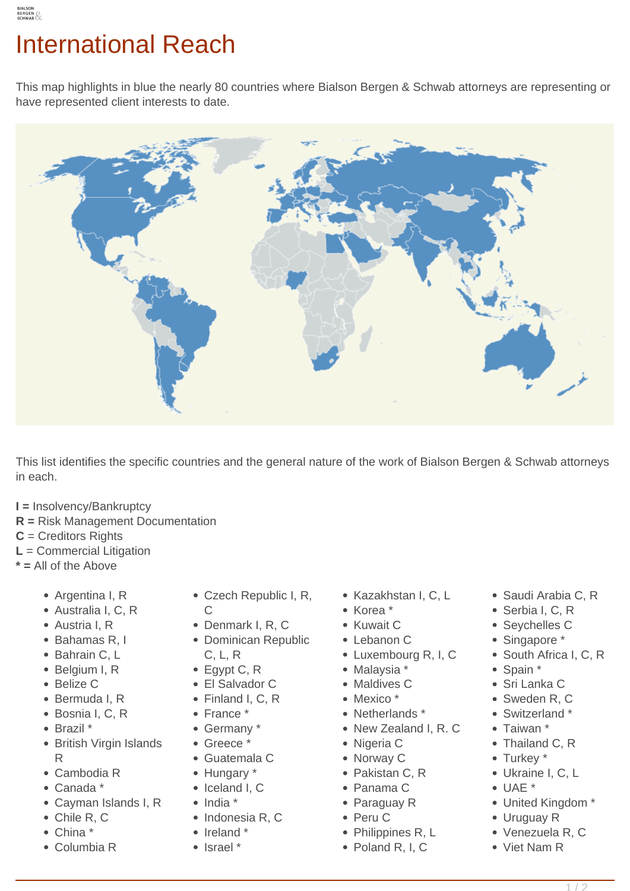This map highlights in blue the nearly 80 countries where Bialson Bergen & Schwab attorneys are representing or have represented client interests to date.



This list identifies the specific countries and the general nature of the work of Bialson Bergen & Schwab attorneys in each.

- **I =** Insolvency/Bankruptcy
- **R =** Risk Management Documentation
- **C** = Creditors Rights
- **L** = Commercial Litigation
- **\* =** All of the Above
	- Argentina I, R
	- Australia I, C, R
	- Austria I, R
	- Bahamas R, I
	- Bahrain C. L
	- Belgium I, R
	- Belize C
	- Bermuda I, R
	- Bosnia I, C, R
	- Brazil \*
	- British Virgin Islands R
	- Cambodia R
	- Canada \*
	- Cayman Islands I, R
	- Chile R, C
	- China \*
	- Columbia R
- Czech Republic I, R,
- $\overline{C}$ Denmark I, R, C
- Dominican Republic C, L, R
- Egypt C, R
- El Salvador C
- Finland I, C, R
- France \*
- Germany \*
- Greece \*
- Guatemala C
- Hungary \*
- Iceland I, C
- $\bullet$  India  $*$
- 
- Indonesia R, C
- Ireland \*
- Israel \*
- Kazakhstan I, C, L
- Korea \*
- Kuwait C
- Lebanon C
- Luxembourg R, I, C
- Malaysia \*
- Maldives C
- Mexico \*
- Netherlands \*
- New Zealand I, R. C
- Nigeria C
- Norway C
- Pakistan C, R
- Panama C
- Paraguay R
- Peru C
- Philippines R, L
- Poland R, I, C
- Saudi Arabia C, R
- Serbia I, C, R
- Seychelles C
- Singapore \*
- South Africa I, C, R
- Spain \*
- Sri Lanka C
- Sweden R, C
- Switzerland \*
- Taiwan \*
- Thailand C. R
- Turkey \*
- Ukraine I, C, L
- UAE \*
- United Kingdom \*
- Uruguay R
- Venezuela R, C
- Viet Nam R